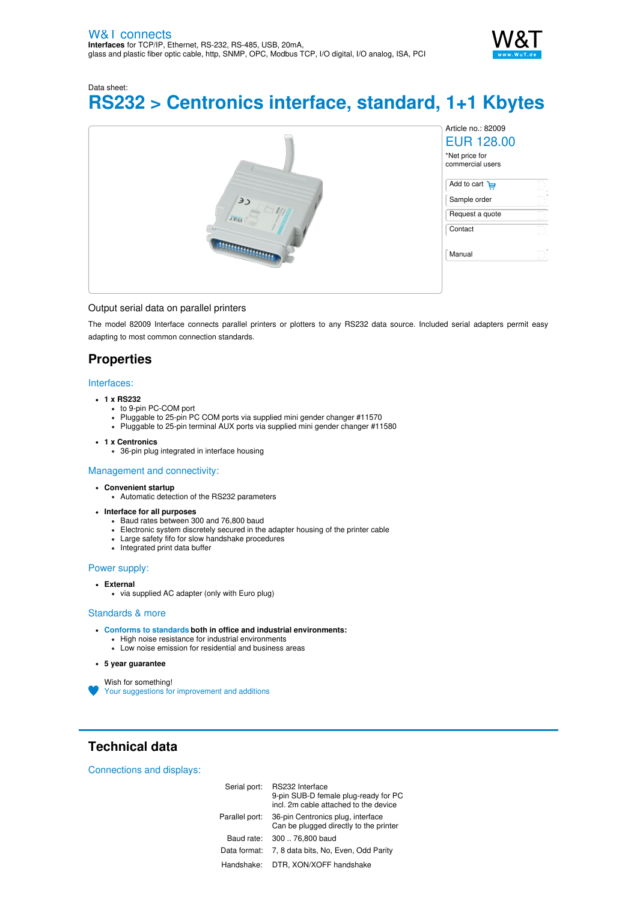

Data sheet:

# **RS232 > Centronics interface, standard, 1+1 Kbytes**



### Output serial data on parallel printers

The model 82009 Interface connects parallel printers or plotters to any RS232 data source. Included serial adapters permit easy adapting to most common connection standards.

## **Properties**

#### Interfaces:

# **1 x RS232**

- to 9-pin PC-COM port
- Pluggable to 25-pin PC COM ports via supplied mini gender changer #11570
- Pluggable to 25-pin terminal AUX ports via supplied mini gender changer #11580
- **1 x Centronics**
	- 36-pin plug integrated in interface housing

#### Management and connectivity:

- **Convenient startup**
	- Automatic detection of the RS232 parameters
- **Interface for all purposes**
	- Baud rates between 300 and 76,800 baud
	- Electronic system discretely secured in the adapter housing of the printer cable
	- Large safety fifo for slow handshake procedures
	- Integrated print data buffer

#### Power supply:

#### **External**

via supplied AC adapter (only with Euro plug)

#### Standards & more

- **Conforms to [standards](https://www.wut.de/download/ce/e-82009-10-rdus-000.pdf) both in office and industrial environments:**
	- High noise resistance for industrial environments
	- Low noise emission for residential and business areas

#### **5 year guarantee**

Wish for something! Your suggestions for [improvement](https://www.wut.de/e-wwwww-ws-orus-000.php?ArticleNr=82009) and additions

**Technical data**

Connections and displays:

| Serial port:   | RS232 Interface<br>9-pin SUB-D female plug-ready for PC<br>incl. 2m cable attached to the device |
|----------------|--------------------------------------------------------------------------------------------------|
| Parallel port: | 36-pin Centronics plug, interface<br>Can be plugged directly to the printer                      |
| Baud rate:     | 300  76,800 baud                                                                                 |
| Data format:   | 7, 8 data bits, No, Even, Odd Parity                                                             |
| Handshake:     | DTR, XON/XOFF handshake                                                                          |